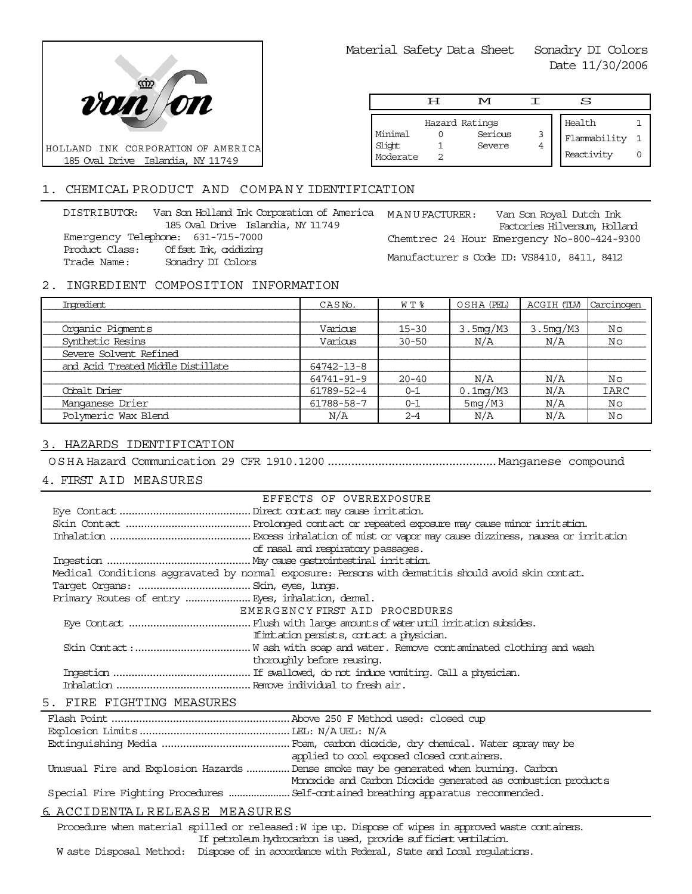

Material Safety Data Sheet Sonadry DI Colors

Date 11/30/2006

|                               | H | rи                                  |        | S                                    |  |
|-------------------------------|---|-------------------------------------|--------|--------------------------------------|--|
| Minimal<br>Slight<br>Moderate |   | Hazard Ratings<br>Serious<br>Severe | 3<br>4 | Health<br>Flammability<br>Reactivity |  |

# 1. CHEMICAL PRODUCT AND COMPANY IDENTIFICATION

DISTRIBUTOR: Van Son Holland Ink Corporation of America MANU FACTURER: 185 Oval Drive Islandia, NY 11749 Emergency Telephone: 631-715-7000 Product Class: Offset Ink, oxidizing Trade Name: Sonadry DI Colors

Van Son Royal Dutch Ink Factories Hilversum, Holland Chemtrec 24 Hour Emergency No-800-424-9300 Manufacturer s Code ID: VS8410, 8411, 8412

# 2. INGREDIENT COMPOSITION INFORMATION

| Imredient                          | CASN <sub>o</sub> . | W T %     | OSHA (PEL)  | ACGIH (TLV) | Carcinogen |
|------------------------------------|---------------------|-----------|-------------|-------------|------------|
|                                    |                     |           |             |             |            |
| Organic Pigments                   | Various             | $15 - 30$ | 3.5mg/M3    | 3.5mg/M3    | No         |
| Synthetic Resins                   | Various             | $30 - 50$ | N/A         | N/A         | Νo         |
| Severe Solvent Refined             |                     |           |             |             |            |
| and Acid Treated Middle Distillate | 64742-13-8          |           |             |             |            |
|                                    | 64741-91-9          | $20 - 40$ | N/A         | N/A         | No         |
| Cobalt Drier                       | 61789-52-4          | $0 - 1$   | $0.1$ mg/M3 | N/A         | IARC       |
| Manganese Drier                    | 61788-58-7          | $0 - 1$   | 5mg/M3      | N/A         | No         |
| Polymeric Wax Blend                | N/A                 | $2 - 4$   | N/A         | N/A         | Νo         |

# 3. HAZARDS IDENTIFICATION

OSHA Hazard Communication 29 CFR 1910.1200..................................................Manganese compound

# 4. FIRST AID MEASURES

| EFFECTS OF OVEREXPOSURE                                                                            |  |
|----------------------------------------------------------------------------------------------------|--|
|                                                                                                    |  |
|                                                                                                    |  |
|                                                                                                    |  |
| of nasal and respiratory passages.                                                                 |  |
|                                                                                                    |  |
| Medical Conditions aggravated by normal exposure: Persons with dematitis should avoid skin contat. |  |
|                                                                                                    |  |
| Primary Routes of entry  Eyes, inhalation, demal.                                                  |  |
| EMERGENCY FIRST AID PROCEDURES                                                                     |  |
|                                                                                                    |  |
| If initiation persists, contact a physician.                                                       |  |
|                                                                                                    |  |
| thoroughly before reusing.                                                                         |  |
|                                                                                                    |  |
|                                                                                                    |  |
|                                                                                                    |  |

### 5. FIRE FIGHTING MEASURES

|                               | applied to cool exposed closed containers.                                            |
|-------------------------------|---------------------------------------------------------------------------------------|
|                               | Unusual Fire and Explosion Hazards  Dense smoke may be generated when burning. Carbon |
|                               | Monoxide and Carbon Dioxide generated as combustion products                          |
|                               | Special Fire Fighting Procedures  Self-contained breathing apparatus recommended.     |
| 6 ACCIDENTAL PELEASE MEASURES |                                                                                       |

# 6. ACCIDENTA L RELEASE MEASURES

Procedure when material spilled or released: W ipe up. Dispose of wipes in approved waste containers. If petroleum hydrocarbon is used, provide sufficient ventilation.

W aste Disposal Method: Dispose of in accordance with Federal, State and Local regulations.